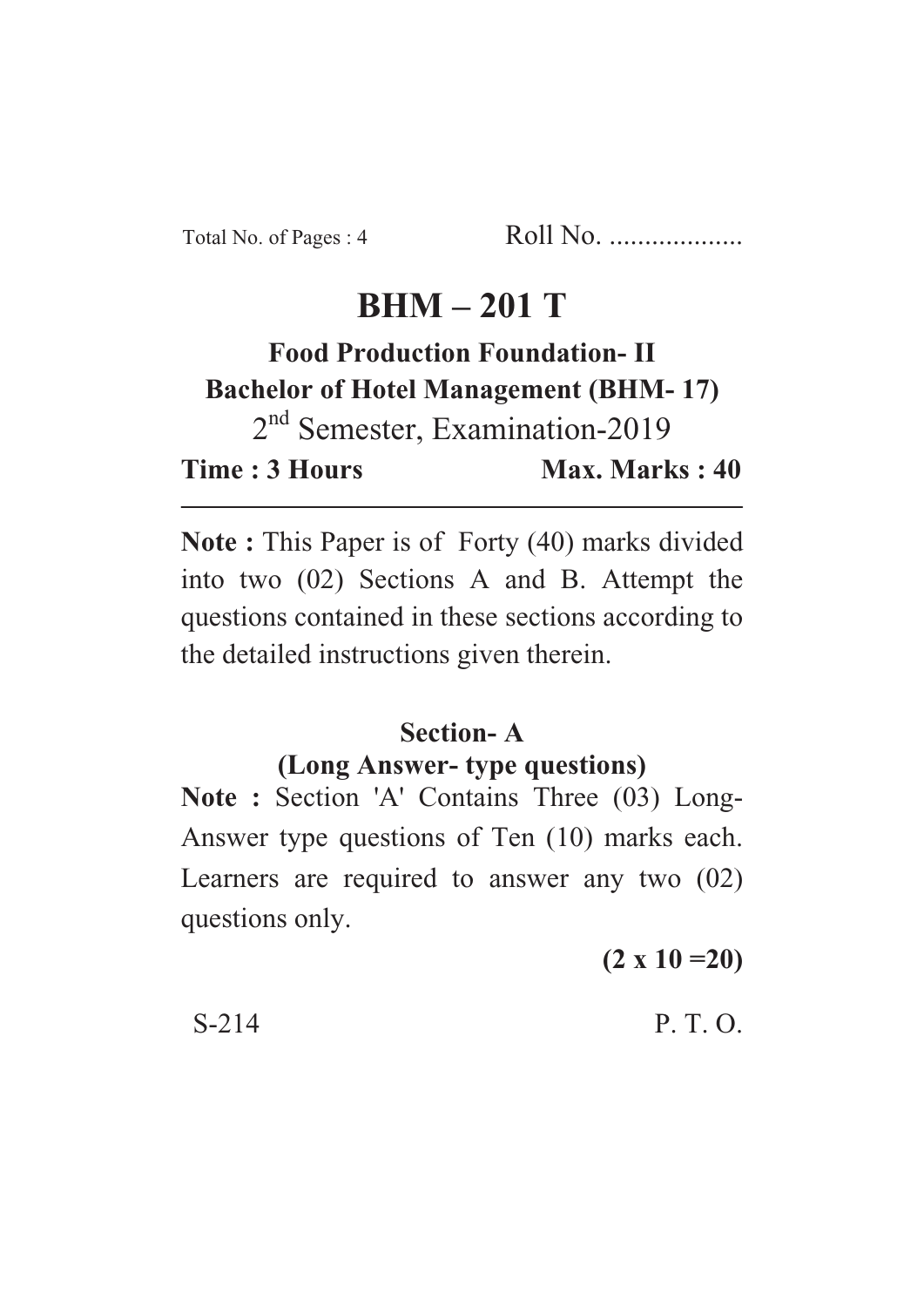# **BHM – 201 T**

# **Food Production Foundation- II Bachelor of Hotel Management (BHM- 17)**

2<sup>nd</sup> Semester, Examination-2019 **Time : 3 Hours Max. Marks : 40** 

**Note :** This Paper is of Forty (40) marks divided into two (02) Sections A and B. Attempt the questions contained in these sections according to the detailed instructions given therein.

# **Section- A**

### **(Long Answer- type questions)**

**Note :** Section 'A' Contains Three (03) Long-Answer type questions of Ten (10) marks each. Learners are required to answer any two (02) questions only.

**(2 x 10 =20)**

 $S-214$  P. T. O.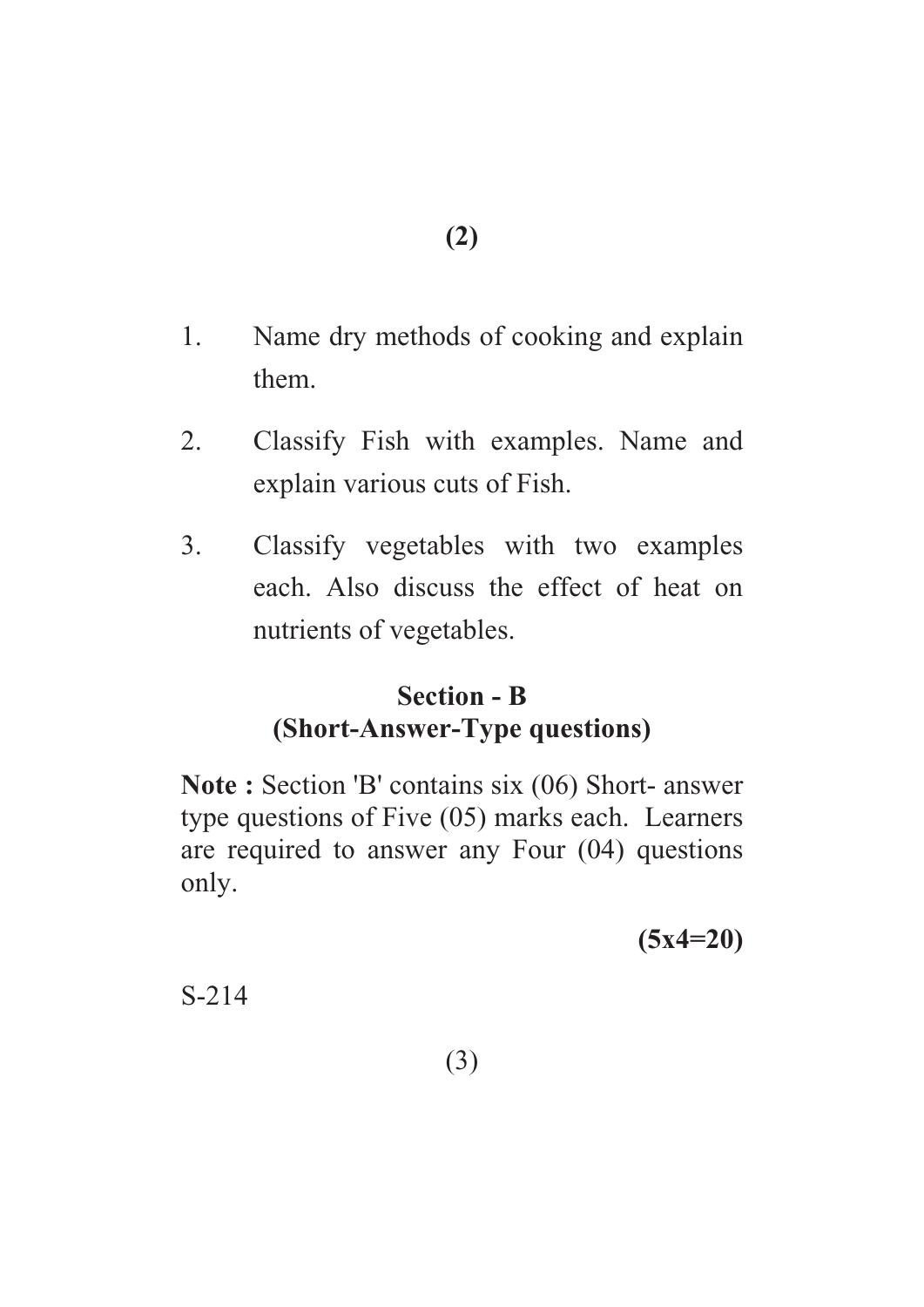- 1. Name dry methods of cooking and explain them.
- 2. Classify Fish with examples. Name and explain various cuts of Fish.
- 3. Classify vegetables with two examples each. Also discuss the effect of heat on nutrients of vegetables.

# **Section - B (Short-Answer-Type questions)**

**Note :** Section 'B' contains six (06) Short- answer type questions of Five (05) marks each. Learners are required to answer any Four (04) questions only.

**(5x4=20)**

S-214